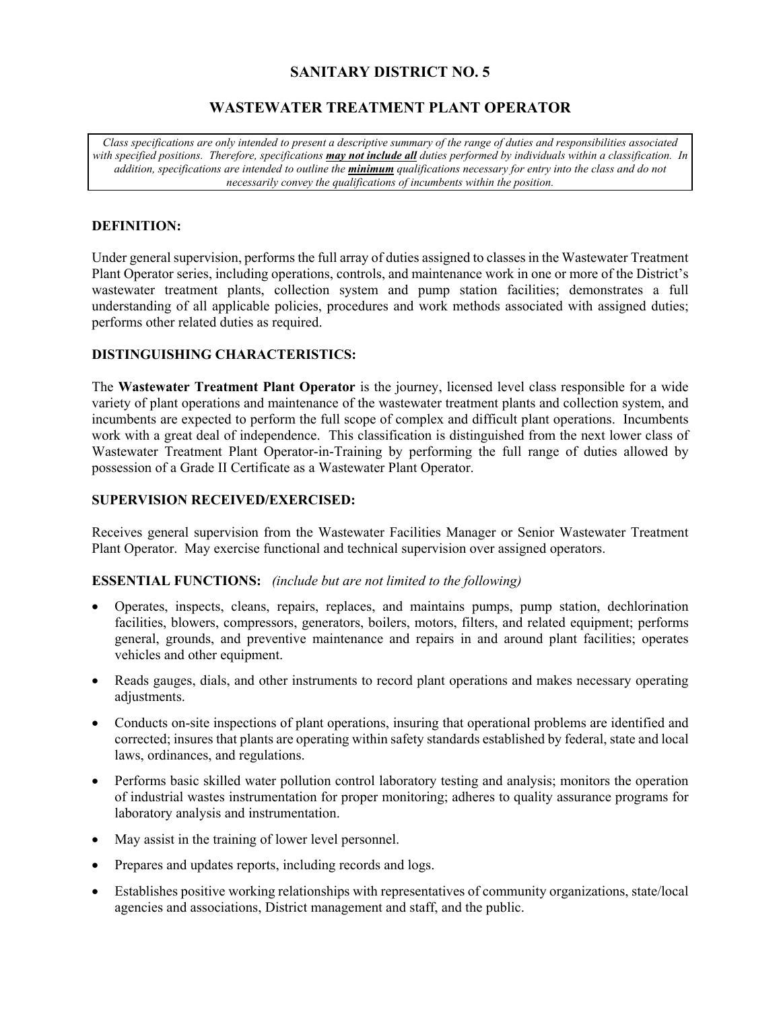# **SANITARY DISTRICT NO. 5**

# **WASTEWATER TREATMENT PLANT OPERATOR**

*Class specifications are only intended to present a descriptive summary of the range of duties and responsibilities associated with specified positions. Therefore, specifications may not include all duties performed by individuals within a classification. In addition, specifications are intended to outline the minimum qualifications necessary for entry into the class and do not necessarily convey the qualifications of incumbents within the position.* 

#### **DEFINITION:**

Under general supervision, performs the full array of duties assigned to classes in the Wastewater Treatment Plant Operator series, including operations, controls, and maintenance work in one or more of the District's wastewater treatment plants, collection system and pump station facilities; demonstrates a full understanding of all applicable policies, procedures and work methods associated with assigned duties; performs other related duties as required.

### **DISTINGUISHING CHARACTERISTICS:**

The **Wastewater Treatment Plant Operator** is the journey, licensed level class responsible for a wide variety of plant operations and maintenance of the wastewater treatment plants and collection system, and incumbents are expected to perform the full scope of complex and difficult plant operations. Incumbents work with a great deal of independence. This classification is distinguished from the next lower class of Wastewater Treatment Plant Operator-in-Training by performing the full range of duties allowed by possession of a Grade II Certificate as a Wastewater Plant Operator.

#### **SUPERVISION RECEIVED/EXERCISED:**

Receives general supervision from the Wastewater Facilities Manager or Senior Wastewater Treatment Plant Operator. May exercise functional and technical supervision over assigned operators.

#### **ESSENTIAL FUNCTIONS:** *(include but are not limited to the following)*

- Operates, inspects, cleans, repairs, replaces, and maintains pumps, pump station, dechlorination facilities, blowers, compressors, generators, boilers, motors, filters, and related equipment; performs general, grounds, and preventive maintenance and repairs in and around plant facilities; operates vehicles and other equipment.
- Reads gauges, dials, and other instruments to record plant operations and makes necessary operating adjustments.
- Conducts on-site inspections of plant operations, insuring that operational problems are identified and corrected; insures that plants are operating within safety standards established by federal, state and local laws, ordinances, and regulations.
- Performs basic skilled water pollution control laboratory testing and analysis; monitors the operation of industrial wastes instrumentation for proper monitoring; adheres to quality assurance programs for laboratory analysis and instrumentation.
- May assist in the training of lower level personnel.
- Prepares and updates reports, including records and logs.
- Establishes positive working relationships with representatives of community organizations, state/local agencies and associations, District management and staff, and the public.